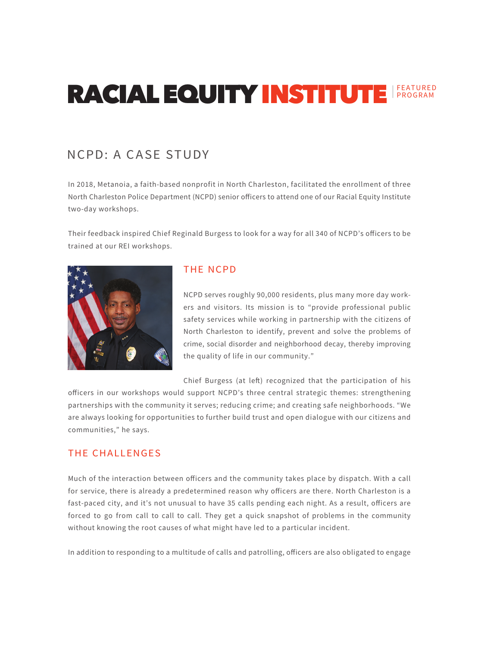# **RACIAL EQUITY INSTITUTE FEATURED**

## NCPD: A CASE STUDY

In 2018, Metanoia, a faith-based nonprofit in North Charleston, facilitated the enrollment of three North Charleston Police Department (NCPD) senior officers to attend one of our Racial Equity Institute two-day workshops.

Their feedback inspired Chief Reginald Burgess to look for a way for all 340 of NCPD's officers to be trained at our REI workshops.



### **THE NCPD**

NCPD serves roughly 90,000 residents, plus many more day workers and visitors. Its mission is to "provide professional public safety services while working in partnership with the citizens of North Charleston to identify, prevent and solve the problems of crime, social disorder and neighborhood decay, thereby improving the quality of life in our community."

Chief Burgess (at left) recognized that the participation of his

officers in our workshops would support NCPD's three central strategic themes: strengthening partnerships with the community it serves; reducing crime; and creating safe neighborhoods. "We are always looking for opportunities to further build trust and open dialogue with our citizens and communities," he says.

### **THE CHALLENGES**

Much of the interaction between officers and the community takes place by dispatch. With a call for service, there is already a predetermined reason why officers are there. North Charleston is a fast-paced city, and it's not unusual to have 35 calls pending each night. As a result, officers are forced to go from call to call to call. They get a quick snapshot of problems in the community without knowing the root causes of what might have led to a particular incident.

In addition to responding to a multitude of calls and patrolling, officers are also obligated to engage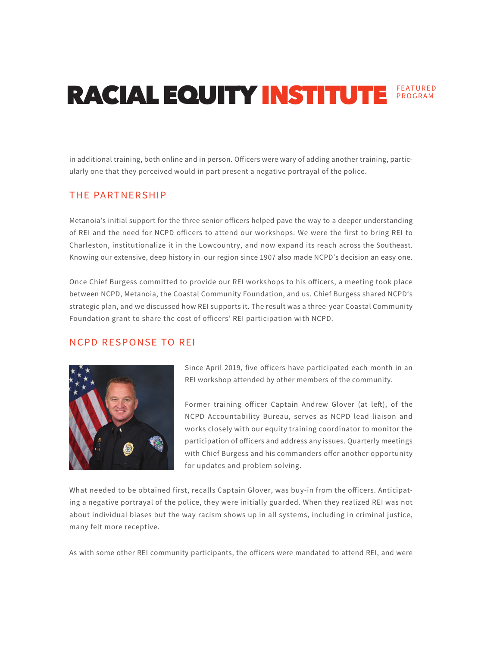# **RACIAL EQUITY INSTITUTE FEATURED**

in additional training, both online and in person. Officers were wary of adding another training, particularly one that they perceived would in part present a negative portrayal of the police.

#### THE PARTNERSHIP

Metanoia's initial support for the three senior officers helped pave the way to a deeper understanding of REI and the need for NCPD officers to attend our workshops. We were the first to bring REI to Charleston, institutionalize it in the Lowcountry, and now expand its reach across the Southeast. Knowing our extensive, deep history in our region since 1907 also made NCPD's decision an easy one.

Once Chief Burgess committed to provide our REI workshops to his officers, a meeting took place between NCPD, Metanoia, the Coastal Community Foundation, and us. Chief Burgess shared NCPD's strategic plan, and we discussed how REI supports it. The result was a three-year Coastal Community Foundation grant to share the cost of officers' REI participation with NCPD.

#### **NCPD RESPONSE TO REI**



Since April 2019, five officers have participated each month in an REI workshop attended by other members of the community.

Former training officer Captain Andrew Glover (at left), of the NCPD Accountability Bureau, serves as NCPD lead liaison and works closely with our equity training coordinator to monitor the participation of officers and address any issues. Quarterly meetings with Chief Burgess and his commanders offer another opportunity for updates and problem solving.

What needed to be obtained first, recalls Captain Glover, was buy-in from the officers. Anticipating a negative portrayal of the police, they were initially guarded. When they realized REI was not about individual biases but the way racism shows up in all systems, including in criminal justice, many felt more receptive.

As with some other REI community participants, the officers were mandated to attend REI, and were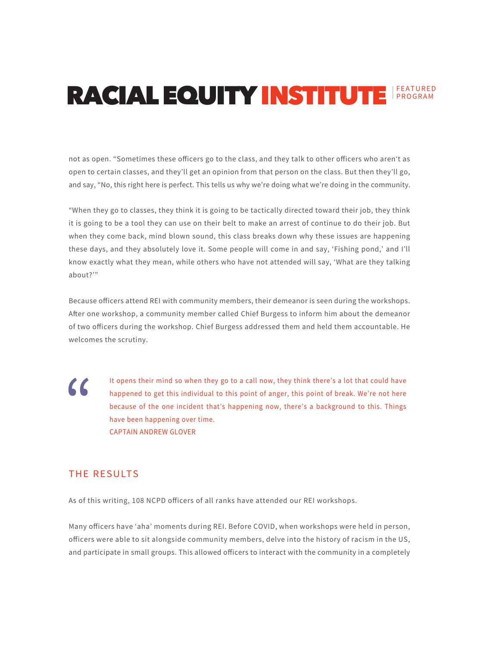# **RACIAL EQUITY INSTITUTE FEATURED**

not as open. "Sometimes these officers go to the class, and they talk to other officers who aren't as open to certain classes, and they'll get an opinion from that person on the class. But then they'll go, and say, "No, this right here is perfect. This tells us why we're doing what we're doing in the community.

"When they go to classes, they think it is going to be tactically directed toward their job, they think it is going to be a tool they can use on their belt to make an arrest of continue to do their job. But when they come back, mind blown sound, this class breaks down why these issues are happening these days, and they absolutely love it. Some people will come in and say, 'Fishing pond,' and I'll know exactly what they mean, while others who have not attended will say, 'What are they talking  $about?$ 

Because officers attend REI with community members, their demeanor is seen during the workshops. After one workshop, a community member called Chief Burgess to inform him about the demeanor of two officers during the workshop. Chief Burgess addressed them and held them accountable. He welcomes the scrutiny.

 $\alpha$ 

It opens their mind so when they go to a call now, they think there's a lot that could have happened to get this individual to this point of anger, this point of break. We're not here because of the one incident that's happening now, there's a background to this. Things have been happening over time. **CAPTAIN ANDREW GLOVER** 

### THE RESULTS

As of this writing, 108 NCPD officers of all ranks have attended our REI workshops.

Many officers have 'aha' moments during REI. Before COVID, when workshops were held in person, officers were able to sit alongside community members, delve into the history of racism in the US, and participate in small groups. This allowed officers to interact with the community in a completely